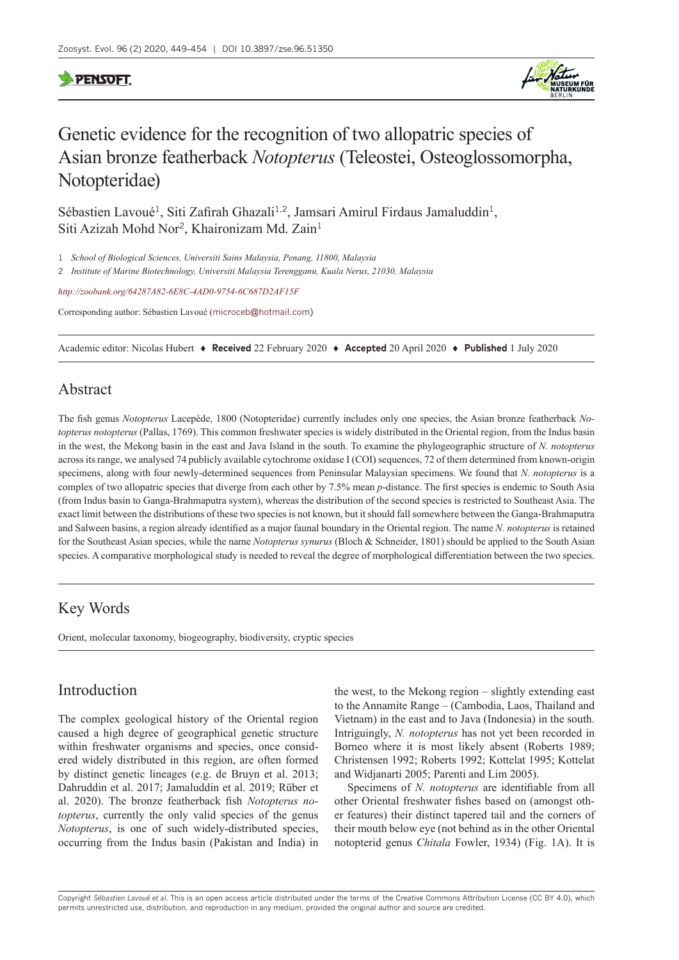# **PENSOFT**



# Genetic evidence for the recognition of two allopatric species of Asian bronze featherback *Notopterus* (Teleostei, Osteoglossomorpha, Notopteridae)

Sébastien Lavoué<sup>1</sup>, Siti Zafirah Ghazali<sup>1,2</sup>, Jamsari Amirul Firdaus Jamaluddin<sup>1</sup>, Siti Azizah Mohd Nor<sup>2</sup>, Khaironizam Md. Zain<sup>1</sup>

1 *School of Biological Sciences, Universiti Sains Malaysia, Penang, 11800, Malaysia*

2 *Institute of Marine Biotechnology, Universiti Malaysia Terengganu, Kuala Nerus, 21030, Malaysia*

*<http://zoobank.org/64287A82-6E8C-4AD0-9754-6C687D2AF15F>*

Corresponding author: Sébastien Lavoué ([microceb@hotmail.com\)](mailto:microceb@hotmail.com)

Academic editor: Nicolas Hubert ♦ **Received** 22 February 2020 ♦ **Accepted** 20 April 2020 ♦ **Published** 1 July 2020

## Abstract

The fish genus *Notopterus* Lacepède, 1800 (Notopteridae) currently includes only one species, the Asian bronze featherback *Notopterus notopterus* (Pallas, 1769). This common freshwater species is widely distributed in the Oriental region, from the Indus basin in the west, the Mekong basin in the east and Java Island in the south. To examine the phylogeographic structure of *N. notopterus* across its range, we analysed 74 publicly available cytochrome oxidase I (COI) sequences, 72 of them determined from known-origin specimens, along with four newly-determined sequences from Peninsular Malaysian specimens. We found that *N. notopterus* is a complex of two allopatric species that diverge from each other by 7.5% mean *p*-distance. The first species is endemic to South Asia (from Indus basin to Ganga-Brahmaputra system), whereas the distribution of the second species is restricted to Southeast Asia. The exact limit between the distributions of these two species is not known, but it should fall somewhere between the Ganga-Brahmaputra and Salween basins, a region already identified as a major faunal boundary in the Oriental region. The name *N. notopterus* is retained for the Southeast Asian species, while the name *Notopterus synurus* (Bloch & Schneider, 1801) should be applied to the South Asian species. A comparative morphological study is needed to reveal the degree of morphological differentiation between the two species.

# Key Words

Orient, molecular taxonomy, biogeography, biodiversity, cryptic species

## Introduction

The complex geological history of the Oriental region caused a high degree of geographical genetic structure within freshwater organisms and species, once considered widely distributed in this region, are often formed by distinct genetic lineages (e.g. de Bruyn et al. 2013; Dahruddin et al. 2017; Jamaluddin et al. 2019; Rüber et al. 2020). The bronze featherback fish *Notopterus notopterus*, currently the only valid species of the genus *Notopterus*, is one of such widely-distributed species, occurring from the Indus basin (Pakistan and India) in the west, to the Mekong region – slightly extending east to the Annamite Range – (Cambodia, Laos, Thailand and Vietnam) in the east and to Java (Indonesia) in the south. Intriguingly, *N. notopterus* has not yet been recorded in Borneo where it is most likely absent (Roberts 1989; Christensen 1992; Roberts 1992; Kottelat 1995; Kottelat and Widjanarti 2005; Parenti and Lim 2005).

Specimens of *N. notopterus* are identifiable from all other Oriental freshwater fishes based on (amongst other features) their distinct tapered tail and the corners of their mouth below eye (not behind as in the other Oriental notopterid genus *Chitala* Fowler, 1934) (Fig. 1A). It is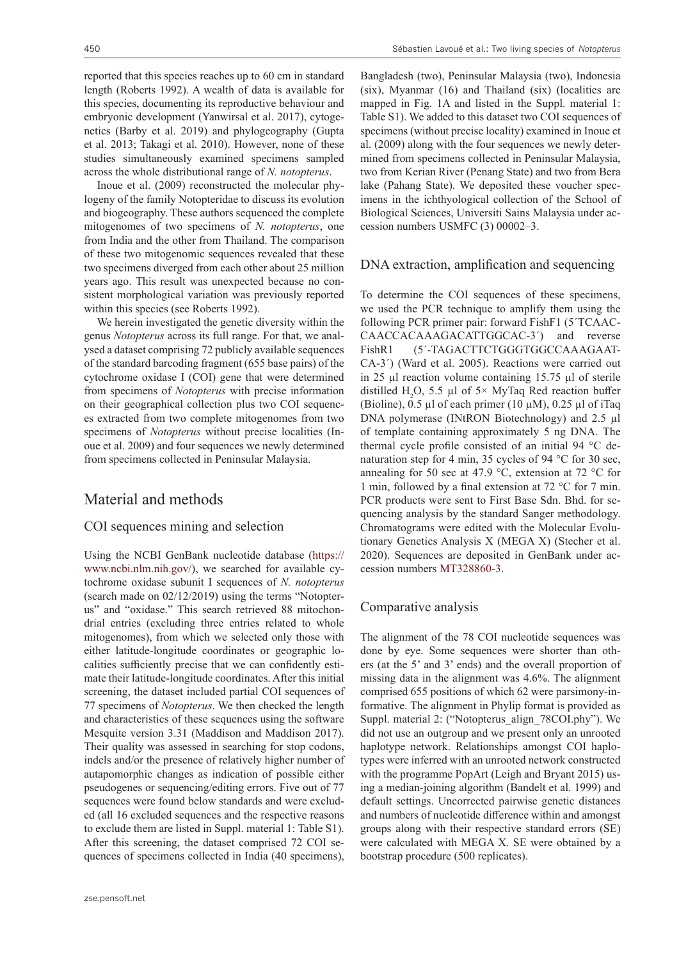reported that this species reaches up to 60 cm in standard length (Roberts 1992). A wealth of data is available for this species, documenting its reproductive behaviour and embryonic development (Yanwirsal et al. 2017), cytogenetics (Barby et al. 2019) and phylogeography (Gupta et al. 2013; Takagi et al. 2010). However, none of these studies simultaneously examined specimens sampled across the whole distributional range of *N. notopterus*.

Inoue et al. (2009) reconstructed the molecular phylogeny of the family Notopteridae to discuss its evolution and biogeography. These authors sequenced the complete mitogenomes of two specimens of *N. notopterus*, one from India and the other from Thailand. The comparison of these two mitogenomic sequences revealed that these two specimens diverged from each other about 25 million years ago. This result was unexpected because no consistent morphological variation was previously reported within this species (see Roberts 1992).

We herein investigated the genetic diversity within the genus *Notopterus* across its full range. For that, we analysed a dataset comprising 72 publicly available sequences of the standard barcoding fragment (655 base pairs) of the cytochrome oxidase I (COI) gene that were determined from specimens of *Notopterus* with precise information on their geographical collection plus two COI sequences extracted from two complete mitogenomes from two specimens of *Notopterus* without precise localities (Inoue et al. 2009) and four sequences we newly determined from specimens collected in Peninsular Malaysia.

## Material and methods

#### COI sequences mining and selection

Using the NCBI GenBank nucleotide database [\(https://](https://www.ncbi.nlm.nih.gov/) [www.ncbi.nlm.nih.gov/](https://www.ncbi.nlm.nih.gov/)), we searched for available cytochrome oxidase subunit I sequences of *N. notopterus* (search made on 02/12/2019) using the terms "Notopterus" and "oxidase." This search retrieved 88 mitochondrial entries (excluding three entries related to whole mitogenomes), from which we selected only those with either latitude-longitude coordinates or geographic localities sufficiently precise that we can confidently estimate their latitude-longitude coordinates. After this initial screening, the dataset included partial COI sequences of 77 specimens of *Notopterus*. We then checked the length and characteristics of these sequences using the software Mesquite version 3.31 (Maddison and Maddison 2017). Their quality was assessed in searching for stop codons, indels and/or the presence of relatively higher number of autapomorphic changes as indication of possible either pseudogenes or sequencing/editing errors. Five out of 77 sequences were found below standards and were excluded (all 16 excluded sequences and the respective reasons to exclude them are listed in Suppl. material 1: Table S1). After this screening, the dataset comprised 72 COI sequences of specimens collected in India (40 specimens),

Bangladesh (two), Peninsular Malaysia (two), Indonesia (six), Myanmar (16) and Thailand (six) (localities are mapped in Fig. 1A and listed in the Suppl. material 1: Table S1). We added to this dataset two COI sequences of specimens (without precise locality) examined in Inoue et al. (2009) along with the four sequences we newly determined from specimens collected in Peninsular Malaysia, two from Kerian River (Penang State) and two from Bera lake (Pahang State). We deposited these voucher specimens in the ichthyological collection of the School of Biological Sciences, Universiti Sains Malaysia under accession numbers USMFC (3) 00002–3.

#### DNA extraction, amplification and sequencing

To determine the COI sequences of these specimens, we used the PCR technique to amplify them using the following PCR primer pair: forward FishF1 (5´TCAAC-CAACCACAAAGACATTGGCAC-3´) and reverse FishR1 (5´-TAGACTTCTGGGTGGCCAAAGAAT-CA-3´) (Ward et al. 2005). Reactions were carried out in 25 µl reaction volume containing 15.75 µl of sterile distilled H<sub>2</sub>O, 5.5 µl of 5× MyTaq Red reaction buffer (Bioline),  $0.5 \mu$ l of each primer (10  $\mu$ M),  $0.25 \mu$ l of iTaq DNA polymerase (INtRON Biotechnology) and 2.5 µl of template containing approximately 5 ng DNA. The thermal cycle profile consisted of an initial 94 °C denaturation step for 4 min, 35 cycles of 94 °C for 30 sec, annealing for 50 sec at 47.9 °C, extension at 72 °C for 1 min, followed by a final extension at 72 °C for 7 min. PCR products were sent to First Base Sdn. Bhd. for sequencing analysis by the standard Sanger methodology. Chromatograms were edited with the Molecular Evolutionary Genetics Analysis X (MEGA X) (Stecher et al. 2020). Sequences are deposited in GenBank under accession numbers [MT328860-3.](http://www.ncbi.nlm.nih.gov/nuccore/MT328860-3)

#### Comparative analysis

The alignment of the 78 COI nucleotide sequences was done by eye. Some sequences were shorter than others (at the 5' and 3' ends) and the overall proportion of missing data in the alignment was 4.6%. The alignment comprised 655 positions of which 62 were parsimony-informative. The alignment in Phylip format is provided as Suppl. material 2: ("Notopterus\_align\_78COI.phy"). We did not use an outgroup and we present only an unrooted haplotype network. Relationships amongst COI haplotypes were inferred with an unrooted network constructed with the programme PopArt (Leigh and Bryant 2015) using a median-joining algorithm (Bandelt et al. 1999) and default settings. Uncorrected pairwise genetic distances and numbers of nucleotide difference within and amongst groups along with their respective standard errors (SE) were calculated with MEGA X. SE were obtained by a bootstrap procedure (500 replicates).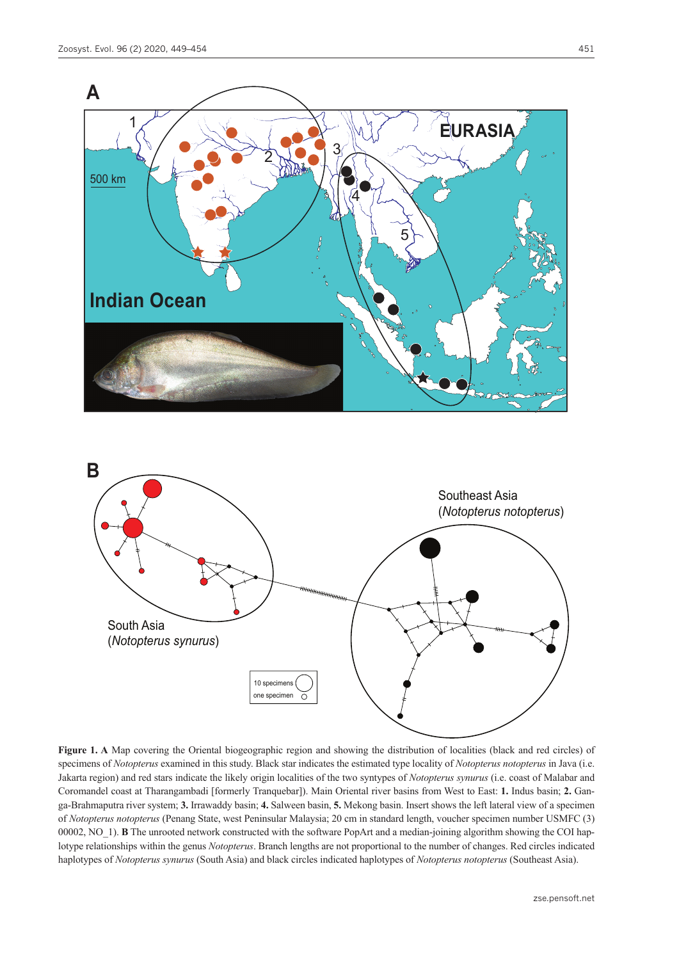



**Figure 1. A** Map covering the Oriental biogeographic region and showing the distribution of localities (black and red circles) of specimens of *Notopterus* examined in this study. Black star indicates the estimated type locality of *Notopterus notopterus* in Java (i.e. Jakarta region) and red stars indicate the likely origin localities of the two syntypes of *Notopterus synurus* (i.e. coast of Malabar and Coromandel coast at Tharangambadi [formerly Tranquebar]). Main Oriental river basins from West to East: **1.** Indus basin; **2.** Ganga-Brahmaputra river system; **3.** Irrawaddy basin; **4.** Salween basin, **5.** Mekong basin. Insert shows the left lateral view of a specimen of *Notopterus notopterus* (Penang State, west Peninsular Malaysia; 20 cm in standard length, voucher specimen number USMFC (3) 00002, NO<sub>1</sub>). **B** The unrooted network constructed with the software PopArt and a median-joining algorithm showing the COI haplotype relationships within the genus *Notopterus*. Branch lengths are not proportional to the number of changes. Red circles indicated haplotypes of *Notopterus synurus* (South Asia) and black circles indicated haplotypes of *Notopterus notopterus* (Southeast Asia).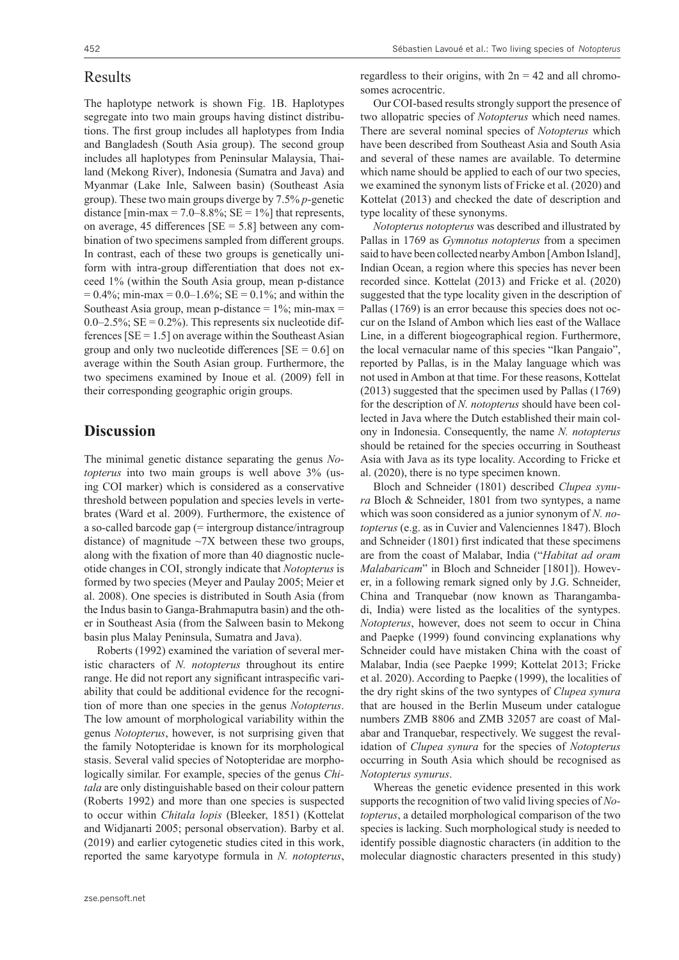#### Results

The haplotype network is shown Fig. 1B. Haplotypes segregate into two main groups having distinct distributions. The first group includes all haplotypes from India and Bangladesh (South Asia group). The second group includes all haplotypes from Peninsular Malaysia, Thailand (Mekong River), Indonesia (Sumatra and Java) and Myanmar (Lake Inle, Salween basin) (Southeast Asia group). These two main groups diverge by 7.5% *p*-genetic distance  $\text{[min-max } = 7.0 - 8.8\%$ ;  $SE = 1\%$  that represents, on average, 45 differences  $[SE = 5.8]$  between any combination of two specimens sampled from different groups. In contrast, each of these two groups is genetically uniform with intra-group differentiation that does not exceed 1% (within the South Asia group, mean p-distance  $= 0.4\%$ ; min-max = 0.0–1.6%; SE = 0.1%; and within the Southeast Asia group, mean p-distance  $= 1\%$ ; min-max  $=$  $0.0-2.5\%$ ; SE =  $0.2\%$ ). This represents six nucleotide differences  $[SE = 1.5]$  on average within the Southeast Asian group and only two nucleotide differences  $[SE = 0.6]$  on average within the South Asian group. Furthermore, the two specimens examined by Inoue et al. (2009) fell in their corresponding geographic origin groups.

## **Discussion**

The minimal genetic distance separating the genus *Notopterus* into two main groups is well above 3% (using COI marker) which is considered as a conservative threshold between population and species levels in vertebrates (Ward et al. 2009). Furthermore, the existence of a so-called barcode gap (= intergroup distance/intragroup distance) of magnitude  $\sim$ 7X between these two groups, along with the fixation of more than 40 diagnostic nucleotide changes in COI, strongly indicate that *Notopterus* is formed by two species (Meyer and Paulay 2005; Meier et al. 2008). One species is distributed in South Asia (from the Indus basin to Ganga-Brahmaputra basin) and the other in Southeast Asia (from the Salween basin to Mekong basin plus Malay Peninsula, Sumatra and Java).

Roberts (1992) examined the variation of several meristic characters of *N. notopterus* throughout its entire range. He did not report any significant intraspecific variability that could be additional evidence for the recognition of more than one species in the genus *Notopterus*. The low amount of morphological variability within the genus *Notopterus*, however, is not surprising given that the family Notopteridae is known for its morphological stasis. Several valid species of Notopteridae are morphologically similar. For example, species of the genus *Chitala* are only distinguishable based on their colour pattern (Roberts 1992) and more than one species is suspected to occur within *Chitala lopis* (Bleeker, 1851) (Kottelat and Widjanarti 2005; personal observation). Barby et al. (2019) and earlier cytogenetic studies cited in this work, reported the same karyotype formula in *N. notopterus*,

regardless to their origins, with  $2n = 42$  and all chromosomes acrocentric.

Our COI-based results strongly support the presence of two allopatric species of *Notopterus* which need names. There are several nominal species of *Notopterus* which have been described from Southeast Asia and South Asia and several of these names are available. To determine which name should be applied to each of our two species, we examined the synonym lists of Fricke et al. (2020) and Kottelat (2013) and checked the date of description and type locality of these synonyms.

*Notopterus notopterus* was described and illustrated by Pallas in 1769 as *Gymnotus notopterus* from a specimen said to have been collected nearby Ambon [Ambon Island], Indian Ocean, a region where this species has never been recorded since. Kottelat (2013) and Fricke et al. (2020) suggested that the type locality given in the description of Pallas (1769) is an error because this species does not occur on the Island of Ambon which lies east of the Wallace Line, in a different biogeographical region. Furthermore, the local vernacular name of this species "Ikan Pangaio", reported by Pallas, is in the Malay language which was not used in Ambon at that time. For these reasons, Kottelat (2013) suggested that the specimen used by Pallas (1769) for the description of *N. notopterus* should have been collected in Java where the Dutch established their main colony in Indonesia. Consequently, the name *N. notopterus* should be retained for the species occurring in Southeast Asia with Java as its type locality. According to Fricke et al. (2020), there is no type specimen known.

Bloch and Schneider (1801) described *Clupea synura* Bloch & Schneider, 1801 from two syntypes, a name which was soon considered as a junior synonym of *N. notopterus* (e.g. as in Cuvier and Valenciennes 1847). Bloch and Schneider (1801) first indicated that these specimens are from the coast of Malabar, India ("*Habitat ad oram Malabaricam*" in Bloch and Schneider [1801]). However, in a following remark signed only by J.G. Schneider, China and Tranquebar (now known as Tharangambadi, India) were listed as the localities of the syntypes. *Notopterus*, however, does not seem to occur in China and Paepke (1999) found convincing explanations why Schneider could have mistaken China with the coast of Malabar, India (see Paepke 1999; Kottelat 2013; Fricke et al. 2020). According to Paepke (1999), the localities of the dry right skins of the two syntypes of *Clupea synura* that are housed in the Berlin Museum under catalogue numbers ZMB 8806 and ZMB 32057 are coast of Malabar and Tranquebar, respectively. We suggest the revalidation of *Clupea synura* for the species of *Notopterus* occurring in South Asia which should be recognised as *Notopterus synurus*.

Whereas the genetic evidence presented in this work supports the recognition of two valid living species of *Notopterus*, a detailed morphological comparison of the two species is lacking. Such morphological study is needed to identify possible diagnostic characters (in addition to the molecular diagnostic characters presented in this study)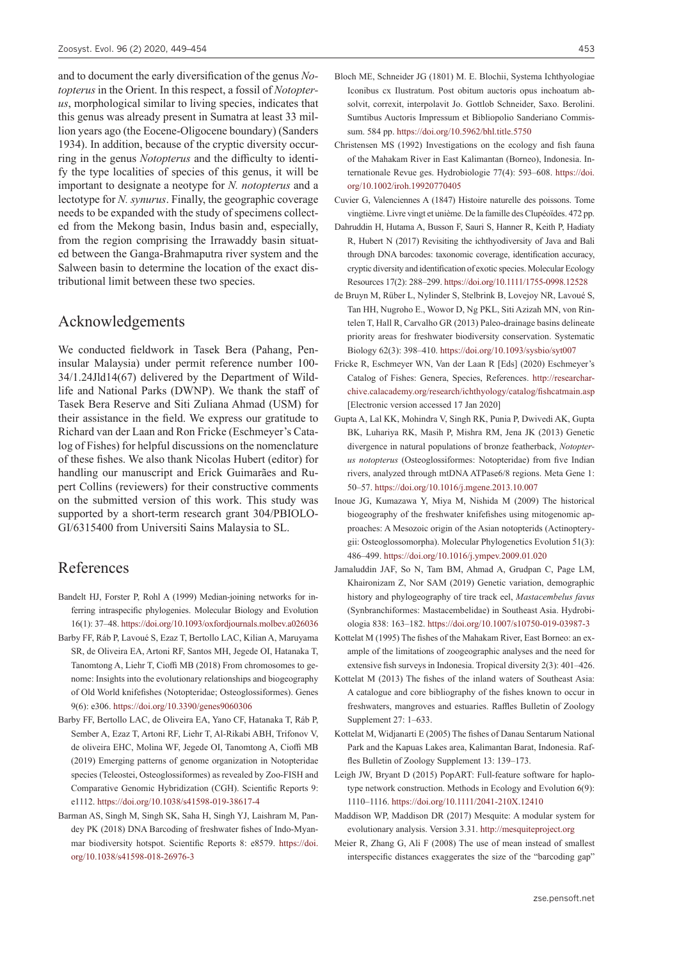and to document the early diversification of the genus *Notopterus* in the Orient. In this respect, a fossil of *Notopterus*, morphological similar to living species, indicates that this genus was already present in Sumatra at least 33 million years ago (the Eocene-Oligocene boundary) (Sanders 1934). In addition, because of the cryptic diversity occurring in the genus *Notopterus* and the difficulty to identify the type localities of species of this genus, it will be important to designate a neotype for *N. notopterus* and a lectotype for *N. synurus*. Finally, the geographic coverage needs to be expanded with the study of specimens collected from the Mekong basin, Indus basin and, especially, from the region comprising the Irrawaddy basin situated between the Ganga-Brahmaputra river system and the Salween basin to determine the location of the exact distributional limit between these two species.

# Acknowledgements

We conducted fieldwork in Tasek Bera (Pahang, Peninsular Malaysia) under permit reference number 100- 34/1.24Jld14(67) delivered by the Department of Wildlife and National Parks (DWNP). We thank the staff of Tasek Bera Reserve and Siti Zuliana Ahmad (USM) for their assistance in the field. We express our gratitude to Richard van der Laan and Ron Fricke (Eschmeyer's Catalog of Fishes) for helpful discussions on the nomenclature of these fishes. We also thank Nicolas Hubert (editor) for handling our manuscript and Erick Guimarães and Rupert Collins (reviewers) for their constructive comments on the submitted version of this work. This study was supported by a short-term research grant 304/PBIOLO-GI/6315400 from Universiti Sains Malaysia to SL.

### References

- Bandelt HJ, Forster P, Rohl A (1999) Median‐joining networks for inferring intraspecific phylogenies. Molecular Biology and Evolution 16(1): 37–48. <https://doi.org/10.1093/oxfordjournals.molbev.a026036>
- Barby FF, Ráb P, Lavoué S, Ezaz T, Bertollo LAC, Kilian A, Maruyama SR, de Oliveira EA, Artoni RF, Santos MH, Jegede OI, Hatanaka T, Tanomtong A, Liehr T, Cioffi MB (2018) From chromosomes to genome: Insights into the evolutionary relationships and biogeography of Old World knifefishes (Notopteridae; Osteoglossiformes). Genes 9(6): e306.<https://doi.org/10.3390/genes9060306>
- Barby FF, Bertollo LAC, de Oliveira EA, Yano CF, Hatanaka T, Ráb P, Sember A, Ezaz T, Artoni RF, Liehr T, Al-Rikabi ABH, Trifonov V, de oliveira EHC, Molina WF, Jegede OI, Tanomtong A, Cioffi MB (2019) Emerging patterns of genome organization in Notopteridae species (Teleostei, Osteoglossiformes) as revealed by Zoo-FISH and Comparative Genomic Hybridization (CGH). Scientific Reports 9: e1112.<https://doi.org/10.1038/s41598-019-38617-4>
- Barman AS, Singh M, Singh SK, Saha H, Singh YJ, Laishram M, Pandey PK (2018) DNA Barcoding of freshwater fishes of Indo-Myanmar biodiversity hotspot. Scientific Reports 8: e8579. [https://doi.](https://doi.org/10.1038/s41598-018-26976-3) [org/10.1038/s41598-018-26976-3](https://doi.org/10.1038/s41598-018-26976-3)
- Bloch ME, Schneider JG (1801) M. E. Blochii, Systema Ichthyologiae Iconibus cx Ilustratum. Post obitum auctoris opus inchoatum absolvit, correxit, interpolavit Jo. Gottlob Schneider, Saxo. Berolini. Sumtibus Auctoris Impressum et Bibliopolio Sanderiano Commissum. 584 pp.<https://doi.org/10.5962/bhl.title.5750>
- Christensen MS (1992) Investigations on the ecology and fish fauna of the Mahakam River in East Kalimantan (Borneo), Indonesia. Internationale Revue ges. Hydrobiologie 77(4): 593–608. [https://doi.](https://doi.org/10.1002/iroh.19920770405) [org/10.1002/iroh.19920770405](https://doi.org/10.1002/iroh.19920770405)
- Cuvier G, Valenciennes A (1847) Histoire naturelle des poissons. Tome vingtième. Livre vingt et unième. De la famille des Clupéoïdes. 472 pp.
- Dahruddin H, Hutama A, Busson F, Sauri S, Hanner R, Keith P, Hadiaty R, Hubert N (2017) Revisiting the ichthyodiversity of Java and Bali through DNA barcodes: taxonomic coverage, identification accuracy, cryptic diversity and identification of exotic species. Molecular Ecology Resources 17(2): 288–299. <https://doi.org/10.1111/1755-0998.12528>
- de Bruyn M, Rüber L, Nylinder S, Stelbrink B, Lovejoy NR, Lavoué S, Tan HH, Nugroho E., Wowor D, Ng PKL, Siti Azizah MN, von Rintelen T, Hall R, Carvalho GR (2013) Paleo-drainage basins delineate priority areas for freshwater biodiversity conservation. Systematic Biology 62(3): 398–410.<https://doi.org/10.1093/sysbio/syt007>
- Fricke R, Eschmeyer WN, Van der Laan R [Eds] (2020) Eschmeyer's Catalog of Fishes: Genera, Species, References. [http://researchar](http://researcharchive.calacademy.org/research/ichthyology/catalog/fishcatmain.asp)[chive.calacademy.org/research/ichthyology/catalog/fishcatmain.asp](http://researcharchive.calacademy.org/research/ichthyology/catalog/fishcatmain.asp) [Electronic version accessed 17 Jan 2020]
- Gupta A, Lal KK, Mohindra V, Singh RK, Punia P, Dwivedi AK, Gupta BK, Luhariya RK, Masih P, Mishra RM, Jena JK (2013) Genetic divergence in natural populations of bronze featherback, *Notopterus notopterus* (Osteoglossiformes: Notopteridae) from five Indian rivers, analyzed through mtDNA ATPase6/8 regions. Meta Gene 1: 50–57. <https://doi.org/10.1016/j.mgene.2013.10.007>
- Inoue JG, Kumazawa Y, Miya M, Nishida M (2009) The historical biogeography of the freshwater knifefishes using mitogenomic approaches: A Mesozoic origin of the Asian notopterids (Actinopterygii: Osteoglossomorpha). Molecular Phylogenetics Evolution 51(3): 486–499. <https://doi.org/10.1016/j.ympev.2009.01.020>
- Jamaluddin JAF, So N, Tam BM, Ahmad A, Grudpan C, Page LM, Khaironizam Z, Nor SAM (2019) Genetic variation, demographic history and phylogeography of tire track eel, *Mastacembelus favus* (Synbranchiformes: Mastacembelidae) in Southeast Asia. Hydrobiologia 838: 163–182. <https://doi.org/10.1007/s10750-019-03987-3>
- Kottelat M (1995) The fishes of the Mahakam River, East Borneo: an example of the limitations of zoogeographic analyses and the need for extensive fish surveys in Indonesia. Tropical diversity 2(3): 401–426.
- Kottelat M (2013) The fishes of the inland waters of Southeast Asia: A catalogue and core bibliography of the fishes known to occur in freshwaters, mangroves and estuaries. Raffles Bulletin of Zoology Supplement 27: 1–633.
- Kottelat M, Widjanarti E (2005) The fishes of Danau Sentarum National Park and the Kapuas Lakes area, Kalimantan Barat, Indonesia. Raffles Bulletin of Zoology Supplement 13: 139–173.
- Leigh JW, Bryant D (2015) PopART: Full-feature software for haplotype network construction. Methods in Ecology and Evolution 6(9): 1110–1116. <https://doi.org/10.1111/2041-210X.12410>
- Maddison WP, Maddison DR (2017) Mesquite: A modular system for evolutionary analysis. Version 3.31. <http://mesquiteproject.org>
- Meier R, Zhang G, Ali F (2008) The use of mean instead of smallest interspecific distances exaggerates the size of the "barcoding gap"